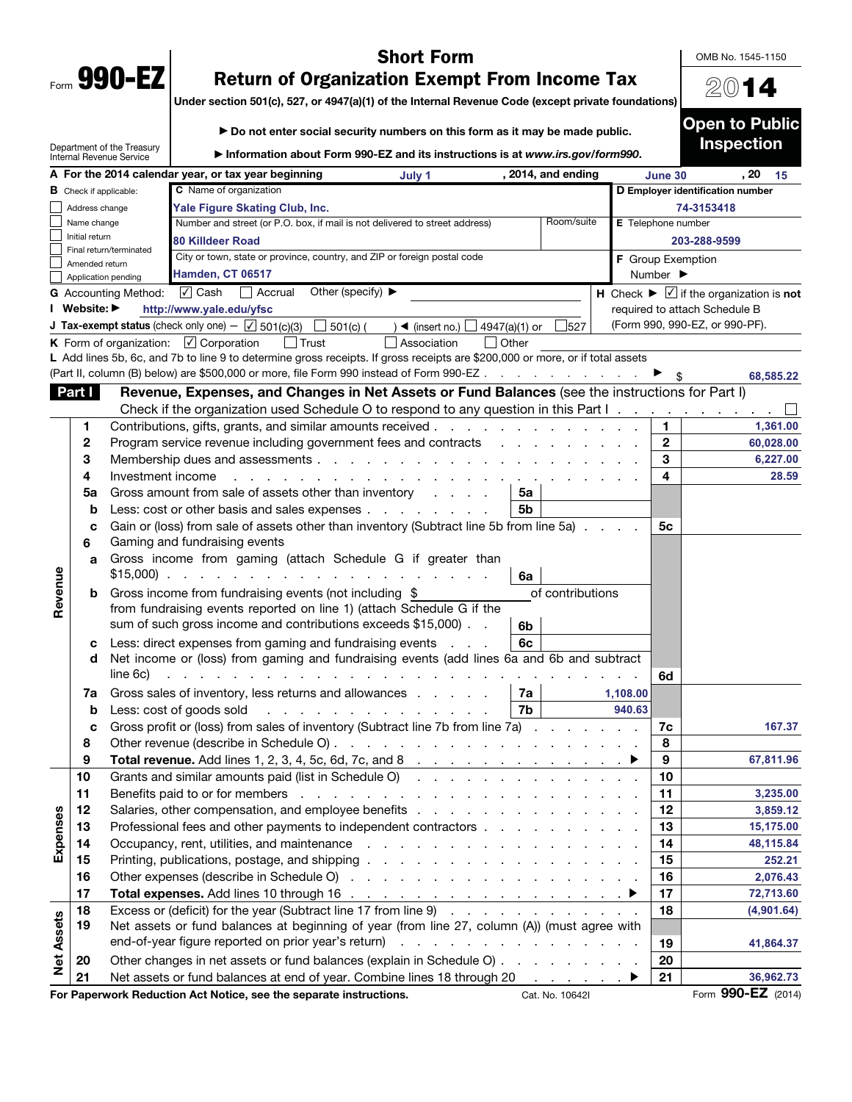| Form | 990- |  |
|------|------|--|

OMB No. 1545-1150

20**14**

# **Short Form<br>Return of Organization Exempt From Income Tax**

**Return of Organization Exempt From Income Tax Under section 501(c), 527, or 4947(a)(1) of the Internal Revenue Code (except private foundations)**

|                   |                               |                                                               | Do not enter social security numbers on this form as it may be made public.                                                                                                                                                    |                                     |                      |                    |              | <b>Open to Public</b>                                         |
|-------------------|-------------------------------|---------------------------------------------------------------|--------------------------------------------------------------------------------------------------------------------------------------------------------------------------------------------------------------------------------|-------------------------------------|----------------------|--------------------|--------------|---------------------------------------------------------------|
|                   |                               | Department of the Treasury<br><b>Internal Revenue Service</b> | Information about Form 990-EZ and its instructions is at www.irs.gov/form990.                                                                                                                                                  |                                     |                      |                    |              | <b>Inspection</b>                                             |
|                   |                               |                                                               | A For the 2014 calendar year, or tax year beginning                                                                                                                                                                            | July 1                              | , 2014, and ending   |                    | June 30      | . 20<br>15                                                    |
|                   | <b>B</b> Check if applicable: |                                                               | C Name of organization                                                                                                                                                                                                         |                                     |                      |                    |              | D Employer identification number                              |
|                   | Address change                |                                                               | Yale Figure Skating Club, Inc.                                                                                                                                                                                                 |                                     |                      |                    |              | 74-3153418                                                    |
|                   | Name change                   |                                                               | Number and street (or P.O. box, if mail is not delivered to street address)                                                                                                                                                    |                                     | Room/suite           | E Telephone number |              |                                                               |
|                   | Initial return                | Final return/terminated                                       | <b>80 Killdeer Road</b>                                                                                                                                                                                                        |                                     |                      |                    |              | 203-288-9599                                                  |
|                   | Amended return                |                                                               | City or town, state or province, country, and ZIP or foreign postal code                                                                                                                                                       |                                     |                      | F Group Exemption  |              |                                                               |
|                   |                               | Application pending                                           | <b>Hamden, CT 06517</b>                                                                                                                                                                                                        |                                     |                      | Number ▶           |              |                                                               |
|                   |                               | <b>G</b> Accounting Method:                                   | √ Cash<br>Accrual<br>Other (specify) $\blacktriangleright$                                                                                                                                                                     |                                     |                      |                    |              | H Check $\blacktriangleright \Box$ if the organization is not |
|                   | I Website: ▶                  |                                                               | http://www.yale.edu/yfsc                                                                                                                                                                                                       |                                     |                      |                    |              | required to attach Schedule B                                 |
|                   |                               |                                                               | <b>J Tax-exempt status</b> (check only one) - $\boxed{\smash{\triangle}}$ 501(c)(3) $\boxed{\phantom{0}}$ 501(c) (                                                                                                             | ) ◀ (insert no.) $\Box$             | 527<br>4947(a)(1) or |                    |              | (Form 990, 990-EZ, or 990-PF).                                |
|                   |                               |                                                               | <b>K</b> Form of organization: $\boxed{\checkmark}$ Corporation<br>$\Box$ Trust                                                                                                                                                | Association                         | $\vert$ Other        |                    |              |                                                               |
|                   |                               |                                                               | L Add lines 5b, 6c, and 7b to line 9 to determine gross receipts. If gross receipts are \$200,000 or more, or if total assets                                                                                                  |                                     |                      |                    |              |                                                               |
|                   |                               |                                                               | (Part II, column (B) below) are \$500,000 or more, file Form 990 instead of Form 990-EZ                                                                                                                                        |                                     |                      |                    | \$           | 68,585.22                                                     |
|                   | Part I                        |                                                               | Revenue, Expenses, and Changes in Net Assets or Fund Balances (see the instructions for Part I)                                                                                                                                |                                     |                      |                    |              |                                                               |
|                   |                               |                                                               | Check if the organization used Schedule O to respond to any question in this Part I.                                                                                                                                           |                                     |                      |                    |              |                                                               |
|                   | 1                             |                                                               | Contributions, gifts, grants, and similar amounts received                                                                                                                                                                     |                                     |                      |                    | 1.           | 1,361.00                                                      |
|                   | 2                             |                                                               | Program service revenue including government fees and contracts                                                                                                                                                                |                                     |                      |                    | $\mathbf{2}$ | 60,028.00                                                     |
|                   | 3                             |                                                               |                                                                                                                                                                                                                                |                                     |                      |                    | 3            | 6,227.00                                                      |
|                   | 4                             | Investment income                                             | .                                                                                                                                                                                                                              |                                     |                      |                    | 4            | 28.59                                                         |
|                   | 5a                            |                                                               | Gross amount from sale of assets other than inventory                                                                                                                                                                          |                                     | 5a                   |                    |              |                                                               |
|                   | b                             |                                                               | Less: cost or other basis and sales expenses                                                                                                                                                                                   |                                     | 5b                   |                    |              |                                                               |
|                   | c<br>6                        |                                                               | Gain or (loss) from sale of assets other than inventory (Subtract line 5b from line 5a)<br>Gaming and fundraising events                                                                                                       |                                     |                      |                    | 5с           |                                                               |
|                   | a                             |                                                               | Gross income from gaming (attach Schedule G if greater than<br>$$15,000$                                                                                                                                                       |                                     | 6a                   |                    |              |                                                               |
| Revenue           | b                             |                                                               | Gross income from fundraising events (not including \$                                                                                                                                                                         |                                     | of contributions     |                    |              |                                                               |
|                   |                               |                                                               | from fundraising events reported on line 1) (attach Schedule G if the                                                                                                                                                          |                                     |                      |                    |              |                                                               |
|                   |                               |                                                               | sum of such gross income and contributions exceeds \$15,000).                                                                                                                                                                  |                                     | 6b                   |                    |              |                                                               |
|                   | c                             |                                                               | Less: direct expenses from gaming and fundraising events                                                                                                                                                                       |                                     | 6c                   |                    |              |                                                               |
|                   | d                             |                                                               | Net income or (loss) from gaming and fundraising events (add lines 6a and 6b and subtract                                                                                                                                      |                                     |                      |                    |              |                                                               |
|                   |                               | line 6c)                                                      | .                                                                                                                                                                                                                              |                                     |                      |                    | 6d           |                                                               |
|                   | 7a                            |                                                               | Gross sales of inventory, less returns and allowances                                                                                                                                                                          |                                     | 7a                   | 1,108.00           |              |                                                               |
|                   | b                             |                                                               | Less: cost of goods sold<br>and a state of                                                                                                                                                                                     | the contract of the contract of the | 7b                   | 940.63             |              |                                                               |
|                   | с                             |                                                               | Gross profit or (loss) from sales of inventory (Subtract line 7b from line 7a)                                                                                                                                                 |                                     |                      |                    | 7c           | 167.37                                                        |
|                   | 8                             |                                                               |                                                                                                                                                                                                                                |                                     |                      |                    | 8            |                                                               |
|                   | 9                             |                                                               |                                                                                                                                                                                                                                |                                     |                      |                    | 9            | 67,811.96                                                     |
|                   | 10                            |                                                               | Grants and similar amounts paid (list in Schedule O)                                                                                                                                                                           |                                     |                      |                    | 10           |                                                               |
|                   | 11                            |                                                               | Benefits paid to or for members enters and the contract of the contract of the contract of the contract of the contract of the contract of the contract of the contract of the contract of the contract of the contract of the |                                     |                      |                    | 11           | 3,235.00                                                      |
|                   | 12                            |                                                               |                                                                                                                                                                                                                                |                                     |                      |                    | 12           | 3,859.12                                                      |
| Expenses          | 13                            |                                                               | Professional fees and other payments to independent contractors                                                                                                                                                                |                                     |                      |                    | 13           | 15,175.00                                                     |
|                   | 14                            |                                                               |                                                                                                                                                                                                                                |                                     |                      |                    | 14           | 48,115.84                                                     |
|                   | 15                            |                                                               |                                                                                                                                                                                                                                |                                     |                      |                    | 15           | 252.21                                                        |
|                   | 16                            |                                                               |                                                                                                                                                                                                                                |                                     |                      |                    | 16           | 2,076.43                                                      |
|                   | 17                            |                                                               |                                                                                                                                                                                                                                |                                     |                      |                    | 17           | 72,713.60                                                     |
|                   | 18                            |                                                               | Excess or (deficit) for the year (Subtract line 17 from line 9)                                                                                                                                                                |                                     |                      |                    | 18           | (4,901.64)                                                    |
| <b>Net Assets</b> | 19                            |                                                               | Net assets or fund balances at beginning of year (from line 27, column (A)) (must agree with                                                                                                                                   |                                     |                      |                    |              |                                                               |
|                   |                               |                                                               |                                                                                                                                                                                                                                |                                     |                      |                    | 19           | 41,864.37                                                     |
|                   |                               |                                                               |                                                                                                                                                                                                                                |                                     |                      |                    |              |                                                               |
|                   | 20                            |                                                               | Other changes in net assets or fund balances (explain in Schedule O)<br>Net assets or fund balances at end of year. Combine lines 18 through 20 ▶                                                                              |                                     |                      |                    | 20           |                                                               |

**For Paperwork Reduction Act Notice, see the separate instructions. <br>
Cat. No. 10642I Form 990-EZ (2014)**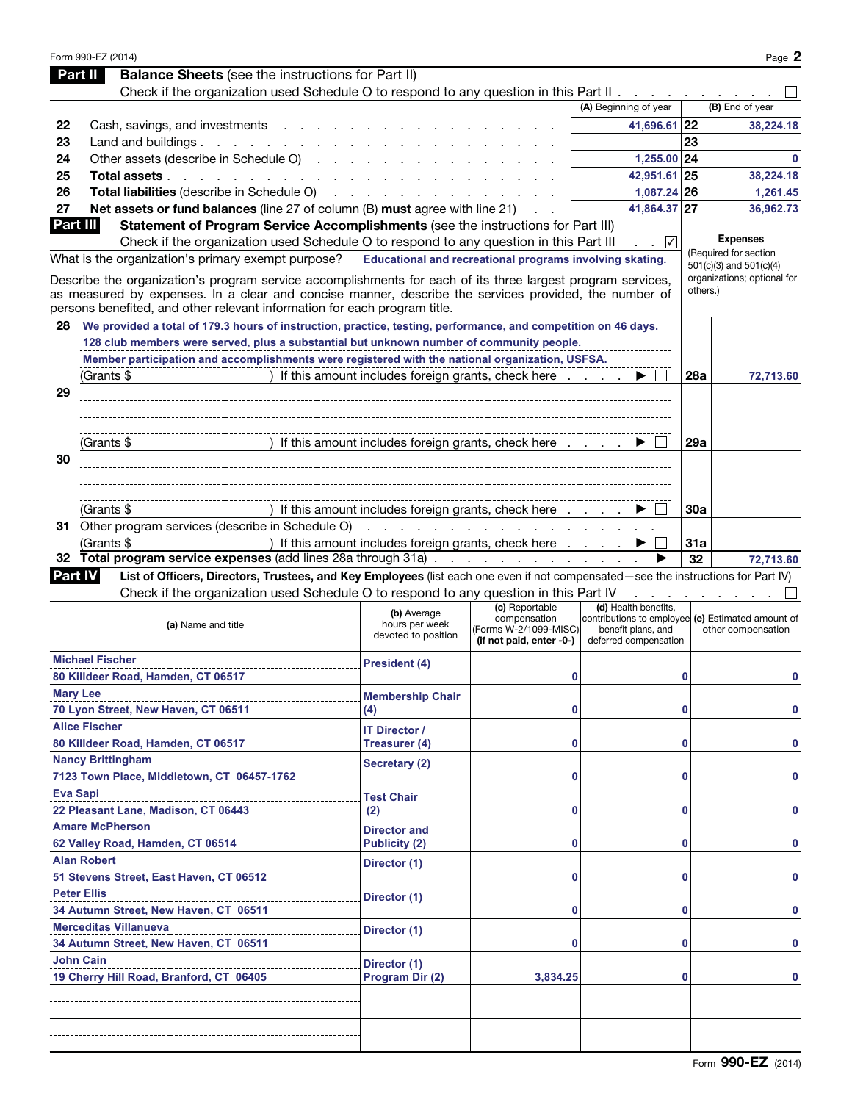|                 | Form 990-EZ (2014)                                                                                                                |                                                      |                                |                                                                           |            | Page 2                                           |
|-----------------|-----------------------------------------------------------------------------------------------------------------------------------|------------------------------------------------------|--------------------------------|---------------------------------------------------------------------------|------------|--------------------------------------------------|
|                 | <b>Balance Sheets</b> (see the instructions for Part II)<br>Part II                                                               |                                                      |                                |                                                                           |            |                                                  |
|                 | Check if the organization used Schedule O to respond to any question in this Part II                                              |                                                      |                                |                                                                           |            |                                                  |
|                 |                                                                                                                                   |                                                      |                                | (A) Beginning of year                                                     |            | (B) End of year                                  |
| 22              | Cash, savings, and investments                                                                                                    |                                                      |                                | 41,696.61 22                                                              |            | 38,224.18                                        |
| 23              | Land and buildings                                                                                                                |                                                      |                                |                                                                           | 23         |                                                  |
| 24              | Other assets (describe in Schedule O)                                                                                             |                                                      |                                | 1,255.00 24                                                               |            | $\bf{0}$                                         |
| 25              | Total assets                                                                                                                      |                                                      |                                | 42,951.61 25                                                              |            | 38,224.18                                        |
| 26              | Total liabilities (describe in Schedule O)                                                                                        | and the state of the state of the state of the       |                                | 1,087.24 26                                                               |            | 1,261.45                                         |
| 27              | Net assets or fund balances (line 27 of column (B) must agree with line 21)                                                       |                                                      |                                | 41,864.37 27                                                              |            | 36,962.73                                        |
| Part III        | Statement of Program Service Accomplishments (see the instructions for Part III)                                                  |                                                      |                                |                                                                           |            |                                                  |
|                 | Check if the organization used Schedule O to respond to any question in this Part III                                             |                                                      |                                | $\overline{\mathcal{V}}$                                                  |            | <b>Expenses</b>                                  |
|                 | What is the organization's primary exempt purpose? Educational and recreational programs involving skating.                       |                                                      |                                |                                                                           |            | (Required for section<br>501(c)(3) and 501(c)(4) |
|                 | Describe the organization's program service accomplishments for each of its three largest program services,                       |                                                      |                                |                                                                           |            | organizations; optional for                      |
|                 | as measured by expenses. In a clear and concise manner, describe the services provided, the number of                             |                                                      |                                |                                                                           |            | others.)                                         |
|                 | persons benefited, and other relevant information for each program title.                                                         |                                                      |                                |                                                                           |            |                                                  |
| 28              | We provided a total of 179.3 hours of instruction, practice, testing, performance, and competition on 46 days.                    |                                                      |                                |                                                                           |            |                                                  |
|                 | 128 club members were served, plus a substantial but unknown number of community people.                                          |                                                      |                                |                                                                           |            |                                                  |
|                 | Member participation and accomplishments were registered with the national organization, USFSA.                                   |                                                      |                                |                                                                           |            |                                                  |
|                 | (Grants \$                                                                                                                        | If this amount includes foreign grants, check here   |                                |                                                                           | <b>28a</b> | 72,713.60                                        |
| 29              |                                                                                                                                   |                                                      |                                |                                                                           |            |                                                  |
|                 |                                                                                                                                   |                                                      |                                |                                                                           |            |                                                  |
|                 |                                                                                                                                   |                                                      |                                |                                                                           |            |                                                  |
|                 | (Grants \$                                                                                                                        | If this amount includes foreign grants, check here   |                                |                                                                           | <b>29a</b> |                                                  |
| 30              |                                                                                                                                   |                                                      |                                |                                                                           |            |                                                  |
|                 |                                                                                                                                   |                                                      |                                |                                                                           |            |                                                  |
|                 |                                                                                                                                   |                                                      |                                |                                                                           |            |                                                  |
|                 | (Grants \$                                                                                                                        | If this amount includes foreign grants, check here   |                                |                                                                           | 30a        |                                                  |
|                 | 31 Other program services (describe in Schedule O)                                                                                |                                                      | .                              |                                                                           |            |                                                  |
|                 | (Grants \$                                                                                                                        | ) If this amount includes foreign grants, check here |                                |                                                                           | 31a        |                                                  |
|                 | 32 Total program service expenses (add lines 28a through 31a)                                                                     |                                                      |                                |                                                                           | 32         | 72,713.60                                        |
| <b>Part IV</b>  | List of Officers, Directors, Trustees, and Key Employees (list each one even if not compensated-see the instructions for Part IV) |                                                      |                                |                                                                           |            |                                                  |
|                 | Check if the organization used Schedule O to respond to any question in this Part IV                                              |                                                      |                                |                                                                           |            |                                                  |
|                 |                                                                                                                                   | (b) Average                                          | (c) Reportable<br>compensation | (d) Health benefits,<br>contributions to employee (e) Estimated amount of |            |                                                  |
|                 | (a) Name and title                                                                                                                | hours per week<br>devoted to position                | (Forms W-2/1099-MISC)          | benefit plans, and                                                        |            | other compensation                               |
|                 |                                                                                                                                   |                                                      | (if not paid, enter -0-)       | deferred compensation                                                     |            |                                                  |
|                 | <b>Michael Fischer</b>                                                                                                            | President (4)                                        |                                |                                                                           |            |                                                  |
|                 | 80 Killdeer Road, Hamden, CT 06517                                                                                                |                                                      | 0                              |                                                                           | 0          | 0                                                |
| <b>Mary Lee</b> |                                                                                                                                   | <b>Membership Chair</b>                              |                                |                                                                           |            |                                                  |
|                 | 70 Lyon Street, New Haven, CT 06511                                                                                               | (4)                                                  | 0                              |                                                                           | 0          | 0                                                |
|                 | <b>Alice Fischer</b>                                                                                                              | <b>IT Director /</b>                                 |                                |                                                                           |            |                                                  |
|                 | 80 Killdeer Road, Hamden, CT 06517                                                                                                | Treasurer (4)                                        | 0                              |                                                                           | 0          | 0                                                |
|                 | <b>Nancy Brittingham</b>                                                                                                          | Secretary (2)                                        |                                |                                                                           |            |                                                  |
|                 | 7123 Town Place, Middletown, CT 06457-1762                                                                                        |                                                      | 0                              |                                                                           | 0          | 0                                                |
| <b>Eva Sapi</b> |                                                                                                                                   | <b>Test Chair</b>                                    |                                |                                                                           |            |                                                  |
|                 | 22 Pleasant Lane, Madison, CT 06443                                                                                               | (2)                                                  | 0                              |                                                                           | 0          | 0                                                |
|                 | <b>Amare McPherson</b>                                                                                                            | <b>Director and</b>                                  |                                |                                                                           |            |                                                  |
|                 | 62 Valley Road, Hamden, CT 06514                                                                                                  | <b>Publicity (2)</b>                                 | 0                              |                                                                           | 0          | 0                                                |
|                 | <b>Alan Robert</b>                                                                                                                | Director (1)                                         |                                |                                                                           |            |                                                  |
|                 | 51 Stevens Street, East Haven, CT 06512                                                                                           |                                                      | 0                              |                                                                           | 0          | 0                                                |
|                 | <b>Peter Ellis</b>                                                                                                                | Director (1)                                         |                                |                                                                           |            |                                                  |
|                 | 34 Autumn Street, New Haven, CT 06511                                                                                             |                                                      | 0                              |                                                                           | 0          | 0                                                |
|                 | <b>Merceditas Villanueva</b>                                                                                                      | Director (1)                                         |                                |                                                                           |            |                                                  |
|                 | 34 Autumn Street, New Haven, CT 06511                                                                                             |                                                      | 0                              |                                                                           | 0          | 0                                                |
|                 | <b>John Cain</b>                                                                                                                  | Director (1)                                         |                                |                                                                           |            |                                                  |
|                 | 19 Cherry Hill Road, Branford, CT 06405                                                                                           | Program Dir (2)                                      | 3,834.25                       |                                                                           | 0          | 0                                                |
|                 |                                                                                                                                   |                                                      |                                |                                                                           |            |                                                  |
|                 |                                                                                                                                   |                                                      |                                |                                                                           |            |                                                  |
|                 |                                                                                                                                   |                                                      |                                |                                                                           |            |                                                  |
|                 |                                                                                                                                   |                                                      |                                |                                                                           |            |                                                  |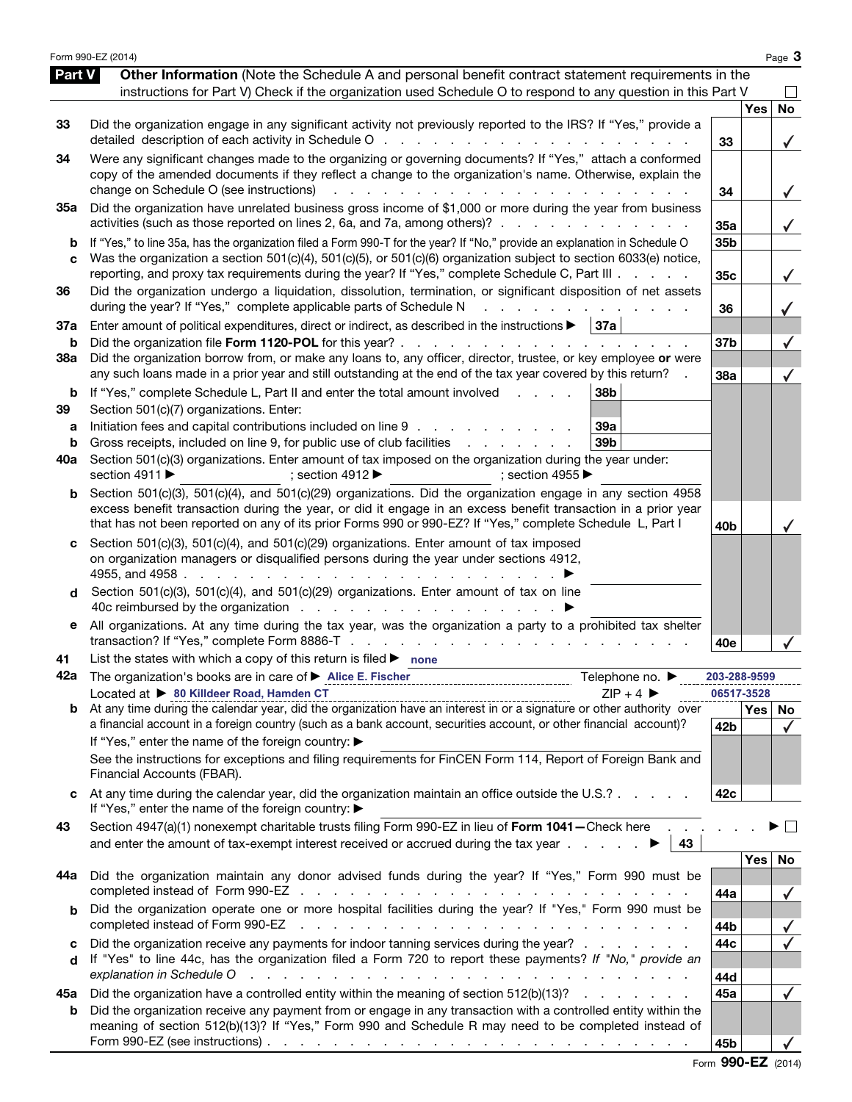|                   | Form 990-EZ (2014)                                                                                                                                                                                                                                                                                                                                                             |                 |            | Page 3         |
|-------------------|--------------------------------------------------------------------------------------------------------------------------------------------------------------------------------------------------------------------------------------------------------------------------------------------------------------------------------------------------------------------------------|-----------------|------------|----------------|
| Part V            | Other Information (Note the Schedule A and personal benefit contract statement requirements in the<br>instructions for Part V) Check if the organization used Schedule O to respond to any question in this Part V                                                                                                                                                             |                 |            |                |
| 33                | Did the organization engage in any significant activity not previously reported to the IRS? If "Yes," provide a<br>detailed description of each activity in Schedule O                                                                                                                                                                                                         | 33              | <b>Yes</b> | <b>No</b><br>✓ |
| 34                | Were any significant changes made to the organizing or governing documents? If "Yes," attach a conformed<br>copy of the amended documents if they reflect a change to the organization's name. Otherwise, explain the<br>change on Schedule O (see instructions)<br>$\sim$                                                                                                     | 34              |            | $\checkmark$   |
| 35a               | Did the organization have unrelated business gross income of \$1,000 or more during the year from business<br>activities (such as those reported on lines 2, 6a, and 7a, among others)?                                                                                                                                                                                        | 35a             |            | $\checkmark$   |
| c                 | If "Yes," to line 35a, has the organization filed a Form 990-T for the year? If "No," provide an explanation in Schedule O<br>Was the organization a section 501(c)(4), 501(c)(5), or 501(c)(6) organization subject to section 6033(e) notice,<br>reporting, and proxy tax requirements during the year? If "Yes," complete Schedule C, Part III                              | 35b<br>35c      |            | $\checkmark$   |
| 36                | Did the organization undergo a liquidation, dissolution, termination, or significant disposition of net assets<br>during the year? If "Yes," complete applicable parts of Schedule N                                                                                                                                                                                           | 36              |            |                |
| 37a<br>b          | Enter amount of political expenditures, direct or indirect, as described in the instructions $\blacktriangleright$   37a<br>Did the organization file Form 1120-POL for this year?                                                                                                                                                                                             | 37 <sub>b</sub> |            |                |
| <b>38a</b>        | Did the organization borrow from, or make any loans to, any officer, director, trustee, or key employee or were<br>any such loans made in a prior year and still outstanding at the end of the tax year covered by this return?                                                                                                                                                | 38a             |            | $\checkmark$   |
| b<br>39<br>а<br>b | If "Yes," complete Schedule L, Part II and enter the total amount involved<br>38b<br>Section 501(c)(7) organizations. Enter:<br>Initiation fees and capital contributions included on line 9<br>39a<br>Gross receipts, included on line 9, for public use of club facilities<br>39b<br>and a state of the state                                                                |                 |            |                |
| 40a               | Section 501(c)(3) organizations. Enter amount of tax imposed on the organization during the year under:<br>section 4911 ▶<br>; section 4912 $\blacktriangleright$<br>; section 4955 $\blacktriangleright$                                                                                                                                                                      |                 |            |                |
| b                 | Section 501(c)(3), 501(c)(4), and 501(c)(29) organizations. Did the organization engage in any section 4958<br>excess benefit transaction during the year, or did it engage in an excess benefit transaction in a prior year<br>that has not been reported on any of its prior Forms 990 or 990-EZ? If "Yes," complete Schedule L, Part I                                      | 40 <sub>b</sub> |            |                |
| d                 | Section 501(c)(3), 501(c)(4), and 501(c)(29) organizations. Enter amount of tax imposed<br>on organization managers or disqualified persons during the year under sections 4912,<br>4955, and 4958.<br>and the company of the company of<br>and the company of the company<br>Section 501(c)(3), 501(c)(4), and 501(c)(29) organizations. Enter amount of tax on line          |                 |            |                |
| е                 | All organizations. At any time during the tax year, was the organization a party to a prohibited tax shelter                                                                                                                                                                                                                                                                   | 40e             |            |                |
| 41                | List the states with which a copy of this return is filed $\blacktriangleright$ none                                                                                                                                                                                                                                                                                           |                 |            |                |
| 42a               | Telephone no. ▶                                                                                                                                                                                                                                                                                                                                                                | 203-288-9599    |            |                |
|                   | Located at > 80 Killdeer Road, Hamden CT<br>$ZIP + 4$<br>Located at $\blacktriangleright$ our minimum construction of the organization have an interest in or a signature or other authority over<br>b At any time during the calendar year, did the organization have an interest in or a signature or                                                                        |                 | 06517-3528 |                |
|                   | a financial account in a foreign country (such as a bank account, securities account, or other financial account)?                                                                                                                                                                                                                                                             | 42b             | Yes   No   | $\checkmark$   |
|                   | If "Yes," enter the name of the foreign country: ▶<br>See the instructions for exceptions and filing requirements for FinCEN Form 114, Report of Foreign Bank and<br>Financial Accounts (FBAR).                                                                                                                                                                                |                 |            |                |
|                   | At any time during the calendar year, did the organization maintain an office outside the U.S.?<br>If "Yes," enter the name of the foreign country: ▶                                                                                                                                                                                                                          | 42c             |            |                |
| 43                | Section 4947(a)(1) nonexempt charitable trusts filing Form 990-EZ in lieu of Form 1041-Check here<br>and enter the amount of tax-exempt interest received or accrued during the tax year $\ldots$<br>43                                                                                                                                                                        |                 |            |                |
| 44a               | Did the organization maintain any donor advised funds during the year? If "Yes," Form 990 must be                                                                                                                                                                                                                                                                              | 44a             | Yes        | No             |
| b                 | Did the organization operate one or more hospital facilities during the year? If "Yes," Form 990 must be<br>completed instead of Form 990-EZ<br>and a complete that the complete the complete theory of the complete theory of the complete theory of the complete theory of the complete theory of the complete theory of the complete theory of the complete theory of the c | 44b             |            |                |
| с                 | Did the organization receive any payments for indoor tanning services during the year?                                                                                                                                                                                                                                                                                         | 44c             |            |                |
| d                 | If "Yes" to line 44c, has the organization filed a Form 720 to report these payments? If "No," provide an<br>explanation in Schedule O<br>and the contract of the contract of the contract of the contract of the contract of                                                                                                                                                  | 44d             |            |                |
| 45а               | Did the organization have a controlled entity within the meaning of section 512(b)(13)?                                                                                                                                                                                                                                                                                        | 45a             |            | $\checkmark$   |
| b                 | Did the organization receive any payment from or engage in any transaction with a controlled entity within the<br>meaning of section 512(b)(13)? If "Yes," Form 990 and Schedule R may need to be completed instead of<br>Form 990-EZ (see instructions) $\ldots$ $\ldots$ $\ldots$ $\ldots$ $\ldots$ $\ldots$ $\ldots$ $\ldots$ $\ldots$ $\ldots$ $\ldots$                    | 45b             |            |                |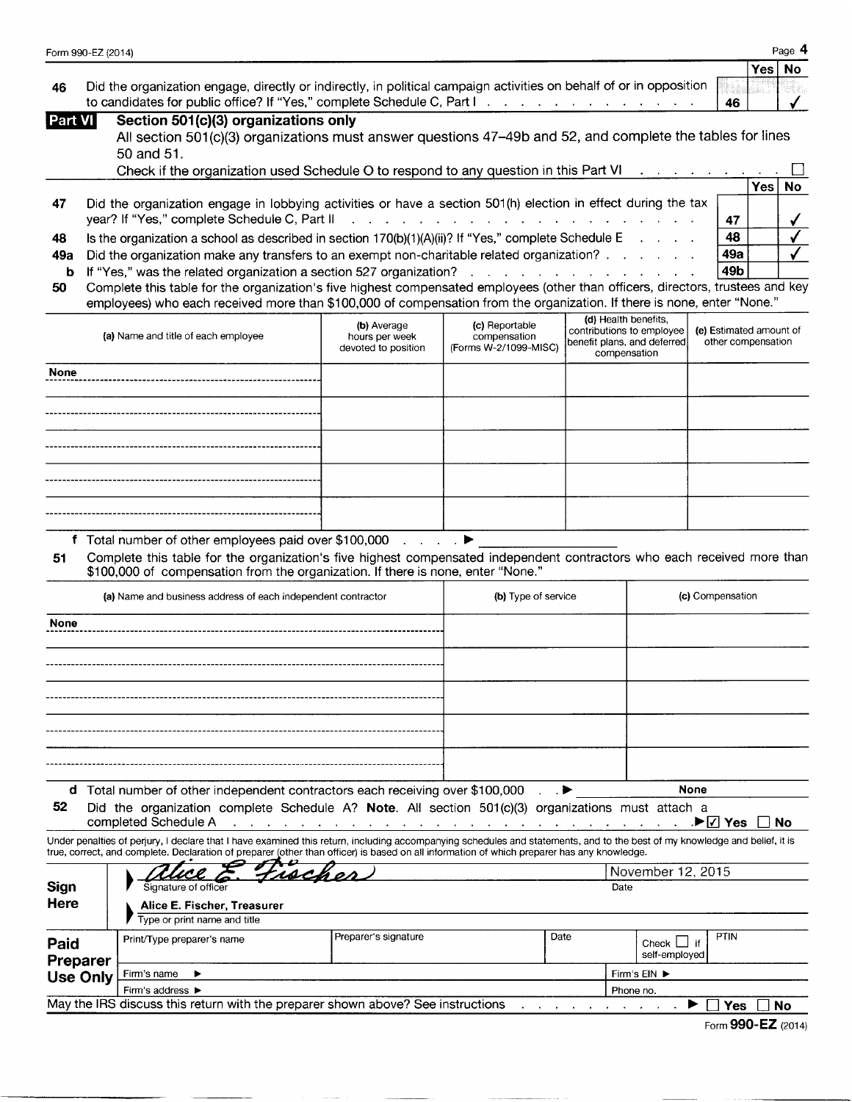| Form 990-EZ (2014) |  |
|--------------------|--|
|                    |  |

|                                                                                                                                                                                                                                                                                                                                                                                                                                           |    | ∣Yes ∣No |  |
|-------------------------------------------------------------------------------------------------------------------------------------------------------------------------------------------------------------------------------------------------------------------------------------------------------------------------------------------------------------------------------------------------------------------------------------------|----|----------|--|
| 46 Did the organization engage, directly or indirectly, in political campaign activities on behalf of or in opposition<br>to candidates for public office? If "Yes," complete Schedule C. Part I.<br><u>in the second contract of the second contract of the second contract of the second contract of the second contract of the second contract of the second contract of the second contract of the second contract of the second </u> | 46 |          |  |
|                                                                                                                                                                                                                                                                                                                                                                                                                                           |    |          |  |

| <b>Part VI</b> | Section 501(c)(3) organizations only                                                                       |
|----------------|------------------------------------------------------------------------------------------------------------|
|                | All section 501(c)(3) organizations must answer questions 47-49b and 52, and complete the tables for lines |
|                | 50 and 51.                                                                                                 |
|                | Check if the organization used Schedule O to respond to any question in this Part VI<br>. 1                |
|                |                                                                                                            |

|    |                                                                                                               |     | 16311 |  |
|----|---------------------------------------------------------------------------------------------------------------|-----|-------|--|
| 47 | Did the organization engage in lobbying activities or have a section 501(h) election in effect during the tax |     |       |  |
|    |                                                                                                               |     |       |  |
| 48 | Is the organization a school as described in section 170(b)(1)(A)(ii)? If "Yes," complete Schedule E          | 48  |       |  |
|    | 49a Did the organization make any transfers to an exempt non-charitable related organization?                 | 49a |       |  |

If "Yes," was the related organization a section 527 organization?  $\ldots$  $\mathbf b$ 

49b 50 Complete this table for the organization's five highest compensated employees (other than officers, directors, trustees and key employees) who each received more than \$100,000 of compensation from the organization. If there is none, enter "None."

| (a) Name and title of each employee | (b) Average<br>hours per week<br>devoted to position | (c) Reportable<br>compensation<br>(Forms W-2/1099-MISC) | (d) Health benefits,<br>contributions to employee<br>benefit plans, and deferred<br>compensation | (e) Estimated amount of<br>other compensation |
|-------------------------------------|------------------------------------------------------|---------------------------------------------------------|--------------------------------------------------------------------------------------------------|-----------------------------------------------|
| <b>None</b>                         |                                                      |                                                         |                                                                                                  |                                               |
|                                     |                                                      |                                                         |                                                                                                  |                                               |
|                                     |                                                      |                                                         |                                                                                                  |                                               |
|                                     |                                                      |                                                         |                                                                                                  |                                               |
|                                     |                                                      |                                                         |                                                                                                  |                                               |

f Total number of other employees paid over \$100,000 . . . .

Complete this table for the organization's five highest compensated independent contractors who each received more than 51 \$100,000 of compensation from the organization. If there is none, enter "None."

| (a) Name and business address of each independent contractor                                  | (b) Type of service                                                                                             | (c) Compensation |
|-----------------------------------------------------------------------------------------------|-----------------------------------------------------------------------------------------------------------------|------------------|
| <b>None</b>                                                                                   |                                                                                                                 |                  |
|                                                                                               |                                                                                                                 |                  |
|                                                                                               |                                                                                                                 |                  |
|                                                                                               |                                                                                                                 |                  |
|                                                                                               |                                                                                                                 |                  |
| Total number of other independent contractors each receiving over \$100,000 ▶<br>d<br>_ _ _ _ | the contract of the contract of the contract of the contract of the contract of the contract of the contract of | None             |

52 Did the organization complete Schedule A? Note. All section 501(c)(3) organizations must attach a

completed Schedule A  $\blacktriangleright \Box$  Yes  $\Box$  No

Under penalties of perjury, I declare that I have examined this return, including accompanying schedules and statements, and to the best of my knowledge and belief, it is true, correct, and complete. Declaration of preparer (other than officer) is based on all information of which preparer has any knowledge.

|                         | alice E. Fiocher                                    |                                                                                              |      | November 12, 2015                                   |  |  |  |  |  |
|-------------------------|-----------------------------------------------------|----------------------------------------------------------------------------------------------|------|-----------------------------------------------------|--|--|--|--|--|
| Sign<br><b>Here</b>     | Signature of officer<br>Alice E. Fischer, Treasurer |                                                                                              |      | Date                                                |  |  |  |  |  |
|                         | Type or print name and title                        |                                                                                              |      |                                                     |  |  |  |  |  |
| Paid<br><b>Preparer</b> | Print/Type preparer's name                          | Preparer's signature                                                                         | Date | <b>PTIN</b><br>Check $\Box$<br>if.<br>self-employed |  |  |  |  |  |
| <b>Use Only</b>         | Firm's name $\blacktriangleright$                   |                                                                                              |      | Firm's EIN ▶                                        |  |  |  |  |  |
|                         | Firm's address $\blacktriangleright$                |                                                                                              |      | Phone no.                                           |  |  |  |  |  |
|                         |                                                     | May the IRS discuss this return with the preparer shown above? See instructions<br>No<br>Yes |      |                                                     |  |  |  |  |  |

Form 990-EZ (2014)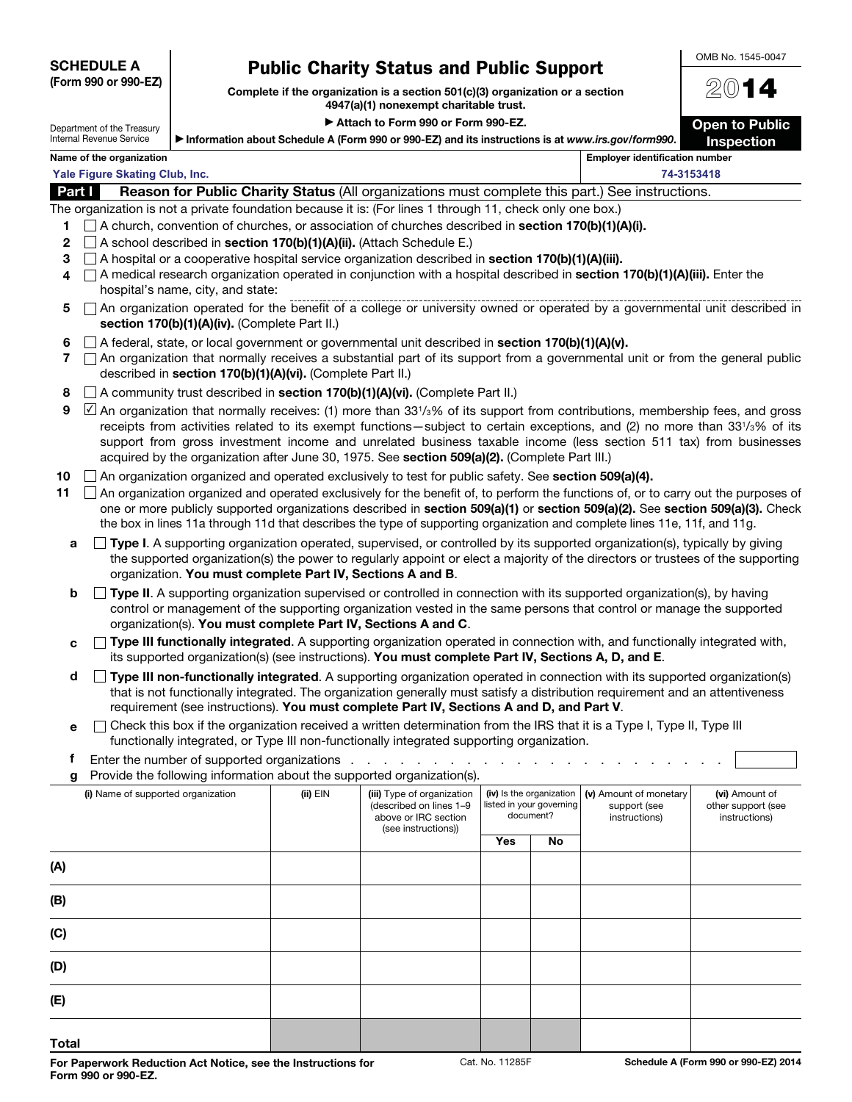**SCHEDULE A (Form 990 or 990-EZ)**

**Public Charity Status and Public Support Complete if the organization is a section 501(c)(3) organization or a section 4947(a)(1) nonexempt charitable trust.**

## ▶ Attach to Form 990 or Form 990-EZ.

**Open to Public** 

OMB No. 1545-0047

20**14**

| Department of the Treasury | AWWW. WITH YOU OI I VIIII YOU LEE                                                                           |                                            | <b>ODEN IO FUDI</b> |
|----------------------------|-------------------------------------------------------------------------------------------------------------|--------------------------------------------|---------------------|
| Internal Revenue Service   | <b> ▶ Information about Schedule A (Form 990 or 990-EZ) and its instructions is at www.irs.gov/form990.</b> |                                            | <b>Inspection</b>   |
| Name of the organization   |                                                                                                             | $^{\prime}$ Emplover identification number |                     |

|               | Name of the organization                                                                               | Employer identification number |  |  |  |  |  |  |
|---------------|--------------------------------------------------------------------------------------------------------|--------------------------------|--|--|--|--|--|--|
|               | Yale Figure Skating Club, Inc.                                                                         | 74-3153418                     |  |  |  |  |  |  |
| <b>Part I</b> | <b>Reason for Public Charity Status (All organizations must complete this part.) See instructions.</b> |                                |  |  |  |  |  |  |

The organization is not a private foundation because it is: (For lines 1 through 11, check only one box.)

- **1** A church, convention of churches, or association of churches described in **section 170(b)(1)(A)(i).**
- **2** A school described in **section 170(b)(1)(A)(ii).** (Attach Schedule E.)
- **3** A hospital or a cooperative hospital service organization described in **section 170(b)(1)(A)(iii).**
- **4** A medical research organization operated in conjunction with a hospital described in **section 170(b)(1)(A)(iii).** Enter the hospital's name, city, and state:
- **5**  $\Box$  An organization operated for the benefit of a college or university owned or operated by a governmental unit described in **section 170(b)(1)(A)(iv).** (Complete Part II.)
- **6** A federal, state, or local government or governmental unit described in **section 170(b)(1)(A)(v).**
- **7** An organization that normally receives a substantial part of its support from a governmental unit or from the general public described in **section 170(b)(1)(A)(vi).** (Complete Part II.)
- **8** A community trust described in **section 170(b)(1)(A)(vi).** (Complete Part II.)
- **9**  $\Box$  An organization that normally receives: (1) more than 33<sup>1</sup>/<sub>3</sub>% of its support from contributions, membership fees, and gross receipts from activities related to its exempt functions—subject to certain exceptions, and (2) no more than 331/3% of its support from gross investment income and unrelated business taxable income (less section 511 tax) from businesses acquired by the organization after June 30, 1975. See **section 509(a)(2).** (Complete Part III.)
- **10** An organization organized and operated exclusively to test for public safety. See **section 509(a)(4).**
- 11  $\Box$  An organization organized and operated exclusively for the benefit of, to perform the functions of, or to carry out the purposes of one or more publicly supported organizations described in **section 509(a)(1)** or **section 509(a)(2).** See **section 509(a)(3).** Check the box in lines 11a through 11d that describes the type of supporting organization and complete lines 11e, 11f, and 11g.
	- **a**  $\Box$  **Type I**. A supporting organization operated, supervised, or controlled by its supported organization(s), typically by giving the supported organization(s) the power to regularly appoint or elect a majority of the directors or trustees of the supporting organization. **You must complete Part IV, Sections A and B**.
	- **b Type II**. A supporting organization supervised or controlled in connection with its supported organization(s), by having control or management of the supporting organization vested in the same persons that control or manage the supported organization(s). **You must complete Part IV, Sections A and C**.
	- **c Type III functionally integrated**. A supporting organization operated in connection with, and functionally integrated with, its supported organization(s) (see instructions). **You must complete Part IV, Sections A, D, and E**.
	- **d**  $\Box$  **Type III non-functionally integrated**. A supporting organization operated in connection with its supported organization(s) that is not functionally integrated. The organization generally must satisfy a distribution requirement and an attentiveness requirement (see instructions). **You must complete Part IV, Sections A and D, and Part V**.
	- **e**  $\Box$  Check this box if the organization received a written determination from the IRS that it is a Type I, Type II, Type III functionally integrated, or Type III non-functionally integrated supporting organization.

|       | Enter the number of supported organizations enters and all the set of the number of supported organizations and all the set of the set of the set of the set of the set of the set of the set of the set of the set of the set |              |                                                                                                      |                                                                   |    |                                                         |                                                       |  |
|-------|--------------------------------------------------------------------------------------------------------------------------------------------------------------------------------------------------------------------------------|--------------|------------------------------------------------------------------------------------------------------|-------------------------------------------------------------------|----|---------------------------------------------------------|-------------------------------------------------------|--|
| g     | Provide the following information about the supported organization(s).                                                                                                                                                         |              |                                                                                                      |                                                                   |    |                                                         |                                                       |  |
|       | (i) Name of supported organization                                                                                                                                                                                             | $(ii)$ $EIN$ | (iii) Type of organization<br>(described on lines 1-9<br>above or IRC section<br>(see instructions)) | (iv) Is the organization<br>listed in your governing<br>document? |    | (v) Amount of monetary<br>support (see<br>instructions) | (vi) Amount of<br>other support (see<br>instructions) |  |
|       |                                                                                                                                                                                                                                |              |                                                                                                      | <b>Yes</b>                                                        | No |                                                         |                                                       |  |
| (A)   |                                                                                                                                                                                                                                |              |                                                                                                      |                                                                   |    |                                                         |                                                       |  |
| (B)   |                                                                                                                                                                                                                                |              |                                                                                                      |                                                                   |    |                                                         |                                                       |  |
| (C)   |                                                                                                                                                                                                                                |              |                                                                                                      |                                                                   |    |                                                         |                                                       |  |
| (D)   |                                                                                                                                                                                                                                |              |                                                                                                      |                                                                   |    |                                                         |                                                       |  |
| (E)   |                                                                                                                                                                                                                                |              |                                                                                                      |                                                                   |    |                                                         |                                                       |  |
| Total |                                                                                                                                                                                                                                |              |                                                                                                      |                                                                   |    |                                                         |                                                       |  |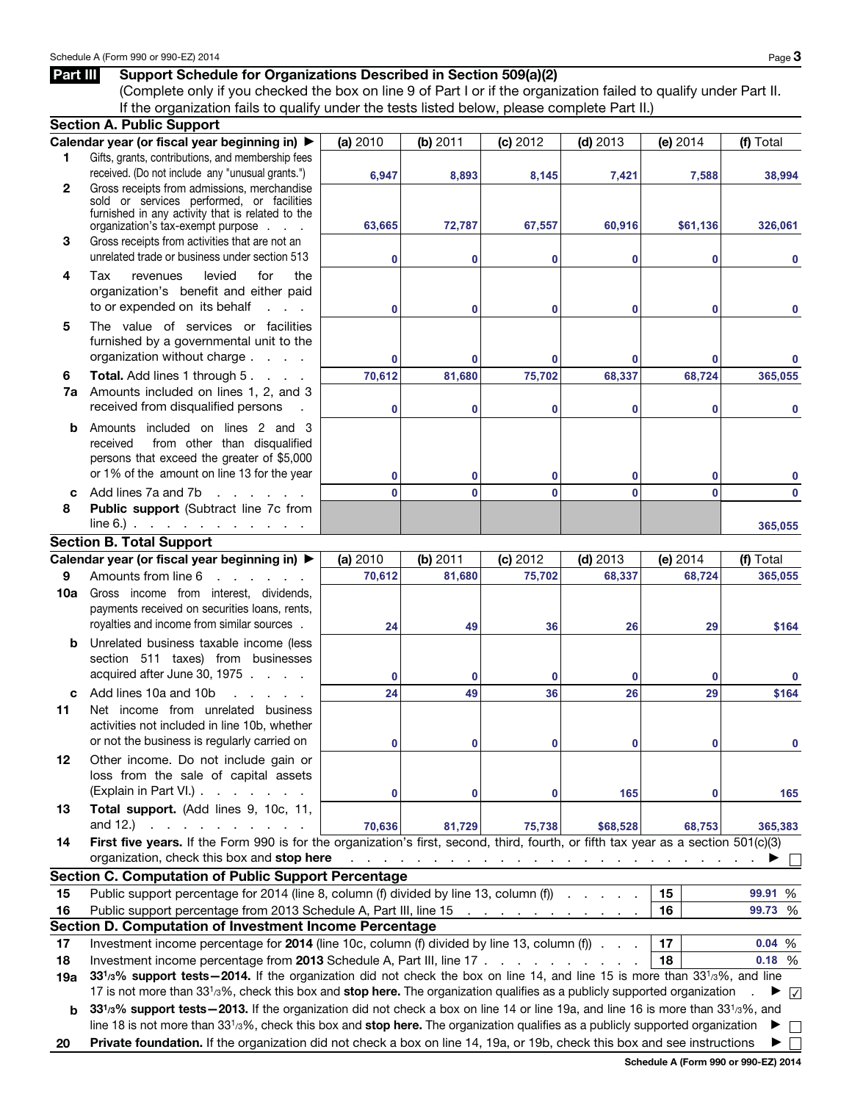### **Part III** Support Schedule for Organizations Described in Section 509(a)(2)

(Complete only if you checked the box on line 9 of Part I or if the organization failed to qualify under Part II. If the organization fails to qualify under the tests listed below, please complete Part II.)

|                                                        | <b>Section A. Public Support</b>                                                                                                                     |              |          |          |            |                                                                                                            |             |
|--------------------------------------------------------|------------------------------------------------------------------------------------------------------------------------------------------------------|--------------|----------|----------|------------|------------------------------------------------------------------------------------------------------------|-------------|
|                                                        | Calendar year (or fiscal year beginning in) ▶                                                                                                        | (a) 2010     | (b) 2011 | (c) 2012 | $(d)$ 2013 | (e) 2014                                                                                                   | (f) Total   |
| 1.                                                     | Gifts, grants, contributions, and membership fees                                                                                                    |              |          |          |            |                                                                                                            |             |
|                                                        | received. (Do not include any "unusual grants.")                                                                                                     | 6,947        | 8,893    | 8,145    | 7,421      | 7,588                                                                                                      | 38,994      |
| $\mathbf{2}$                                           | Gross receipts from admissions, merchandise                                                                                                          |              |          |          |            |                                                                                                            |             |
|                                                        | sold or services performed, or facilities                                                                                                            |              |          |          |            |                                                                                                            |             |
|                                                        | furnished in any activity that is related to the<br>organization's tax-exempt purpose                                                                | 63,665       | 72,787   | 67,557   | 60,916     | \$61,136                                                                                                   | 326,061     |
| 3                                                      | Gross receipts from activities that are not an                                                                                                       |              |          |          |            |                                                                                                            |             |
|                                                        | unrelated trade or business under section 513                                                                                                        | $\bf{0}$     | 0        | 0        | 0          | 0                                                                                                          | $\bf{0}$    |
| 4                                                      | levied<br>Tax<br>revenues<br>for<br>the                                                                                                              |              |          |          |            |                                                                                                            |             |
|                                                        | organization's benefit and either paid                                                                                                               |              |          |          |            |                                                                                                            |             |
|                                                        | to or expended on its behalf<br><b>Contract Contract</b>                                                                                             | $\bf{0}$     | 0        | 0        | 0          | 0                                                                                                          | 0           |
| 5                                                      | The value of services or facilities                                                                                                                  |              |          |          |            |                                                                                                            |             |
|                                                        | furnished by a governmental unit to the                                                                                                              |              |          |          |            |                                                                                                            |             |
|                                                        | organization without charge                                                                                                                          | $\bf{0}$     | $\bf{0}$ | 0        | 0          | 0                                                                                                          |             |
| 6                                                      | Total. Add lines 1 through 5.                                                                                                                        | 70,612       | 81,680   | 75,702   | 68,337     | 68,724                                                                                                     | 365,055     |
| 7a                                                     | Amounts included on lines 1, 2, and 3                                                                                                                |              |          |          |            |                                                                                                            |             |
|                                                        | received from disqualified persons                                                                                                                   | $\bf{0}$     | 0        | 0        | 0          | 0                                                                                                          | $\bf{0}$    |
|                                                        |                                                                                                                                                      |              |          |          |            |                                                                                                            |             |
| b                                                      | Amounts included on lines 2 and 3<br>from other than disqualified<br>received                                                                        |              |          |          |            |                                                                                                            |             |
|                                                        | persons that exceed the greater of \$5,000                                                                                                           |              |          |          |            |                                                                                                            |             |
|                                                        | or 1% of the amount on line 13 for the year                                                                                                          | $\bf{0}$     | 0        | 0        | 0          | 0                                                                                                          | 0           |
| C                                                      | Add lines 7a and 7b<br>$2.14 - 1.1$                                                                                                                  | $\bf{0}$     | $\bf{0}$ | 0        | $\bf{0}$   | $\bf{0}$                                                                                                   | 0           |
| 8                                                      | Public support (Subtract line 7c from                                                                                                                |              |          |          |            |                                                                                                            |             |
|                                                        | $line 6.)$                                                                                                                                           |              |          |          |            |                                                                                                            | 365,055     |
|                                                        | <b>Section B. Total Support</b>                                                                                                                      |              |          |          |            |                                                                                                            |             |
|                                                        | Calendar year (or fiscal year beginning in) ▶                                                                                                        | (a) 2010     | (b) 2011 | (c) 2012 | $(d)$ 2013 | (e) $2014$                                                                                                 | (f) Total   |
| 9                                                      | Amounts from line 6                                                                                                                                  | 70,612       | 81,680   | 75,702   | 68,337     | 68,724                                                                                                     | 365,055     |
| 10a                                                    | Gross income from interest, dividends,                                                                                                               |              |          |          |            |                                                                                                            |             |
|                                                        | payments received on securities loans, rents,                                                                                                        |              |          |          |            |                                                                                                            |             |
|                                                        | royalties and income from similar sources.                                                                                                           | 24           | 49       | 36       | 26         | 29                                                                                                         | \$164       |
| b                                                      | Unrelated business taxable income (less                                                                                                              |              |          |          |            |                                                                                                            |             |
|                                                        | section 511 taxes) from businesses                                                                                                                   |              |          |          |            |                                                                                                            |             |
|                                                        | acquired after June 30, 1975                                                                                                                         | $\bf{0}$     | $\bf{0}$ | 0        | 0          | 0                                                                                                          |             |
| c                                                      | Add lines 10a and 10b                                                                                                                                | 24           | 49       | 36       | 26         | 29                                                                                                         | \$164       |
| 11                                                     | Net income from unrelated business                                                                                                                   |              |          |          |            |                                                                                                            |             |
|                                                        | activities not included in line 10b, whether                                                                                                         |              |          |          |            |                                                                                                            |             |
|                                                        | or not the business is regularly carried on                                                                                                          | $\mathbf{0}$ | $\bf{0}$ | 0        | 0          | 0                                                                                                          | $\mathbf 0$ |
| 12                                                     | Other income. Do not include gain or                                                                                                                 |              |          |          |            |                                                                                                            |             |
|                                                        | loss from the sale of capital assets                                                                                                                 |              |          |          |            |                                                                                                            |             |
|                                                        | (Explain in Part VI.)                                                                                                                                | $\bf{0}$     | 0        | 0        | 165        | 0                                                                                                          | 165         |
| 13                                                     | Total support. (Add lines 9, 10c, 11,                                                                                                                |              |          |          |            |                                                                                                            |             |
|                                                        | and 12.) $\therefore$ $\therefore$ $\therefore$ $\therefore$ $\therefore$ $\therefore$                                                               | 70,636       | 81,729   | 75,738   | \$68,528   | 68,753                                                                                                     | 365,383     |
| 14                                                     | First five years. If the Form 990 is for the organization's first, second, third, fourth, or fifth tax year as a section 501(c)(3)                   |              |          |          |            |                                                                                                            |             |
|                                                        | organization, check this box and stop here                                                                                                           |              |          |          |            | المتابع والمتابع والمتابع والمتابع والمتابع والمتابع والمتابع والمتابع والمتابع والمتابع والمتابع والمتابع |             |
|                                                        | <b>Section C. Computation of Public Support Percentage</b>                                                                                           |              |          |          |            |                                                                                                            |             |
| 15                                                     | Public support percentage for 2014 (line 8, column (f) divided by line 13, column (f)                                                                |              |          |          |            | 15                                                                                                         | 99.91 %     |
| 16                                                     | Public support percentage from 2013 Schedule A, Part III, line 15                                                                                    |              |          |          |            | 16                                                                                                         | 99.73 %     |
| Section D. Computation of Investment Income Percentage |                                                                                                                                                      |              |          |          |            |                                                                                                            |             |
| 17                                                     | Investment income percentage for 2014 (line 10c, column (f) divided by line 13, column (f)                                                           |              |          |          |            | 17                                                                                                         | 0.04%       |
| 18                                                     | Investment income percentage from 2013 Schedule A, Part III, line 17<br>18                                                                           |              |          |          |            |                                                                                                            | 0.18%       |
| 19a                                                    | 33 <sup>1</sup> /3% support tests-2014. If the organization did not check the box on line 14, and line 15 is more than 33 <sup>1</sup> /3%, and line |              |          |          |            |                                                                                                            |             |
|                                                        | 17 is not more than 331/3%, check this box and stop here. The organization qualifies as a publicly supported organization                            |              |          |          |            | $\sqrt{ }$                                                                                                 |             |
| b                                                      | 331/3% support tests - 2013. If the organization did not check a box on line 14 or line 19a, and line 16 is more than 331/3%, and                    |              |          |          |            |                                                                                                            |             |
|                                                        | line 18 is not more than $3313%$ , check this box and stop here. The organization qualifies as a publicly supported organization                     |              |          |          |            |                                                                                                            |             |
| 20                                                     | Private foundation. If the organization did not check a box on line 14, 19a, or 19b, check this box and see instructions                             |              |          |          |            |                                                                                                            |             |

**Schedule A (Form 990 or 990-EZ) 2014**